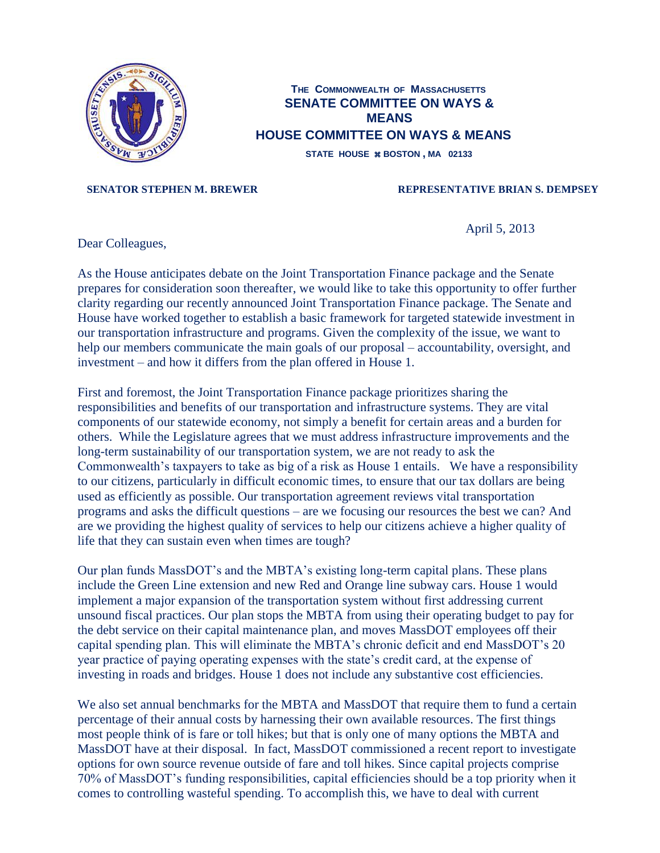

## **THE COMMONWEALTH OF MASSACHUSETTS SENATE COMMITTEE ON WAYS & MEANS HOUSE COMMITTEE ON WAYS & MEANS**

**STATE HOUSE BOSTON , MA 02133**

## **SENATOR STEPHEN M. BREWER REPRESENTATIVE BRIAN S. DEMPSEY**

April 5, 2013

Dear Colleagues,

As the House anticipates debate on the Joint Transportation Finance package and the Senate prepares for consideration soon thereafter, we would like to take this opportunity to offer further clarity regarding our recently announced Joint Transportation Finance package. The Senate and House have worked together to establish a basic framework for targeted statewide investment in our transportation infrastructure and programs. Given the complexity of the issue, we want to help our members communicate the main goals of our proposal – accountability, oversight, and investment – and how it differs from the plan offered in House 1.

First and foremost, the Joint Transportation Finance package prioritizes sharing the responsibilities and benefits of our transportation and infrastructure systems. They are vital components of our statewide economy, not simply a benefit for certain areas and a burden for others. While the Legislature agrees that we must address infrastructure improvements and the long-term sustainability of our transportation system, we are not ready to ask the Commonwealth's taxpayers to take as big of a risk as House 1 entails. We have a responsibility to our citizens, particularly in difficult economic times, to ensure that our tax dollars are being used as efficiently as possible. Our transportation agreement reviews vital transportation programs and asks the difficult questions – are we focusing our resources the best we can? And are we providing the highest quality of services to help our citizens achieve a higher quality of life that they can sustain even when times are tough?

Our plan funds MassDOT's and the MBTA's existing long-term capital plans. These plans include the Green Line extension and new Red and Orange line subway cars. House 1 would implement a major expansion of the transportation system without first addressing current unsound fiscal practices. Our plan stops the MBTA from using their operating budget to pay for the debt service on their capital maintenance plan, and moves MassDOT employees off their capital spending plan. This will eliminate the MBTA's chronic deficit and end MassDOT's 20 year practice of paying operating expenses with the state's credit card, at the expense of investing in roads and bridges. House 1 does not include any substantive cost efficiencies.

We also set annual benchmarks for the MBTA and MassDOT that require them to fund a certain percentage of their annual costs by harnessing their own available resources. The first things most people think of is fare or toll hikes; but that is only one of many options the MBTA and MassDOT have at their disposal. In fact, MassDOT commissioned a recent report to investigate options for own source revenue outside of fare and toll hikes. Since capital projects comprise 70% of MassDOT's funding responsibilities, capital efficiencies should be a top priority when it comes to controlling wasteful spending. To accomplish this, we have to deal with current